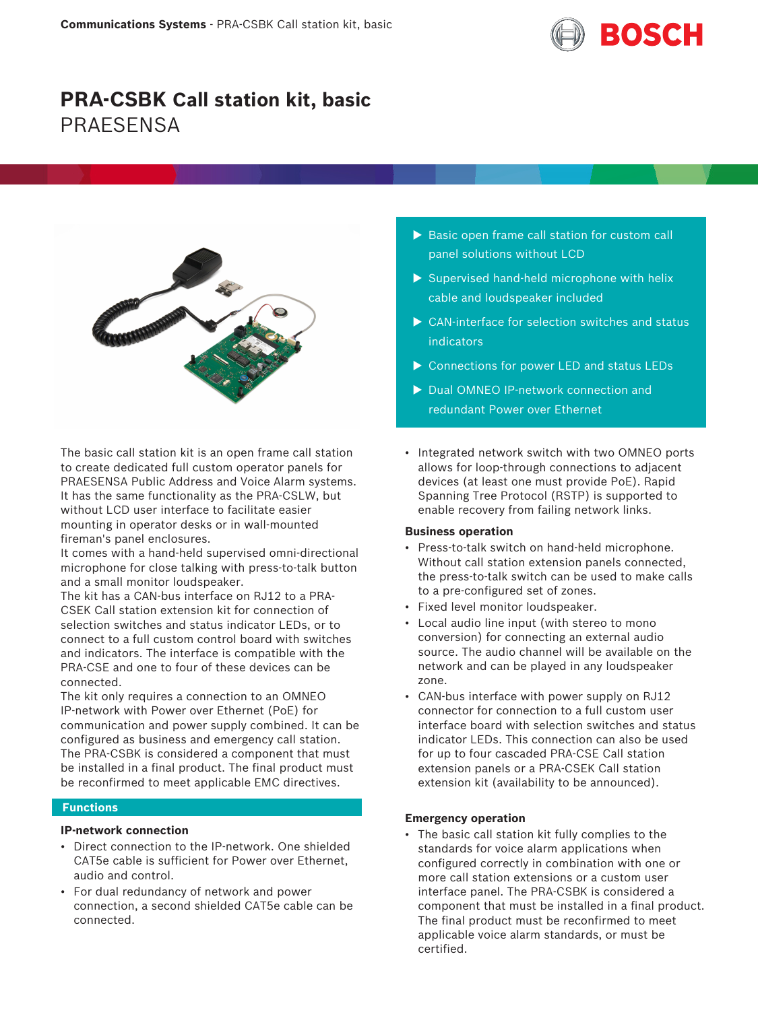

## **PRA-CSBK Call station kit, basic PRAFSENSA**



The basic call station kit is an open frame call station to create dedicated full custom operator panels for PRAESENSA Public Address and Voice Alarm systems. It has the same functionality as the PRA-CSLW, but without LCD user interface to facilitate easier mounting in operator desks or in wall-mounted fireman's panel enclosures.

It comes with a hand-held supervised omni-directional microphone for close talking with press-to-talk button and a small monitor loudspeaker.

The kit has a CAN-bus interface on RJ12 to a PRA-CSEK Call station extension kit for connection of selection switches and status indicator LEDs, or to connect to a full custom control board with switches and indicators. The interface is compatible with the PRA-CSE and one to four of these devices can be connected.

The kit only requires a connection to an OMNEO IP‑network with Power over Ethernet (PoE) for communication and power supply combined. It can be configured as business and emergency call station. The PRA-CSBK is considered a component that must be installed in a final product. The final product must be reconfirmed to meet applicable EMC directives.

#### **Functions**

#### **IP‑network connection**

- Direct connection to the IP‑network. One shielded CAT5e cable is sufficient for Power over Ethernet, audio and control.
- For dual redundancy of network and power connection, a second shielded CAT5e cable can be connected.
- $\triangleright$  Basic open frame call station for custom call panel solutions without LCD
- $\triangleright$  Supervised hand-held microphone with helix cable and loudspeaker included
- $\triangleright$  CAN-interface for selection switches and status indicators
- $\triangleright$  Connections for power LED and status LEDs
- ▶ Dual OMNEO IP-network connection and redundant Power over Ethernet
- Integrated network switch with two OMNEO ports allows for loop-through connections to adjacent devices (at least one must provide PoE). Rapid Spanning Tree Protocol (RSTP) is supported to enable recovery from failing network links.

#### **Business operation**

- Press-to-talk switch on hand-held microphone. Without call station extension panels connected, the press-to-talk switch can be used to make calls to a pre‑configured set of zones.
- Fixed level monitor loudspeaker.
- Local audio line input (with stereo to mono conversion) for connecting an external audio source. The audio channel will be available on the network and can be played in any loudspeaker zone.
- CAN-bus interface with power supply on RJ12 connector for connection to a full custom user interface board with selection switches and status indicator LEDs. This connection can also be used for up to four cascaded PRA-CSE Call station extension panels or a PRA-CSEK Call station extension kit (availability to be announced).

#### **Emergency operation**

• The basic call station kit fully complies to the standards for voice alarm applications when configured correctly in combination with one or more call station extensions or a custom user interface panel. The PRA-CSBK is considered a component that must be installed in a final product. The final product must be reconfirmed to meet applicable voice alarm standards, or must be certified.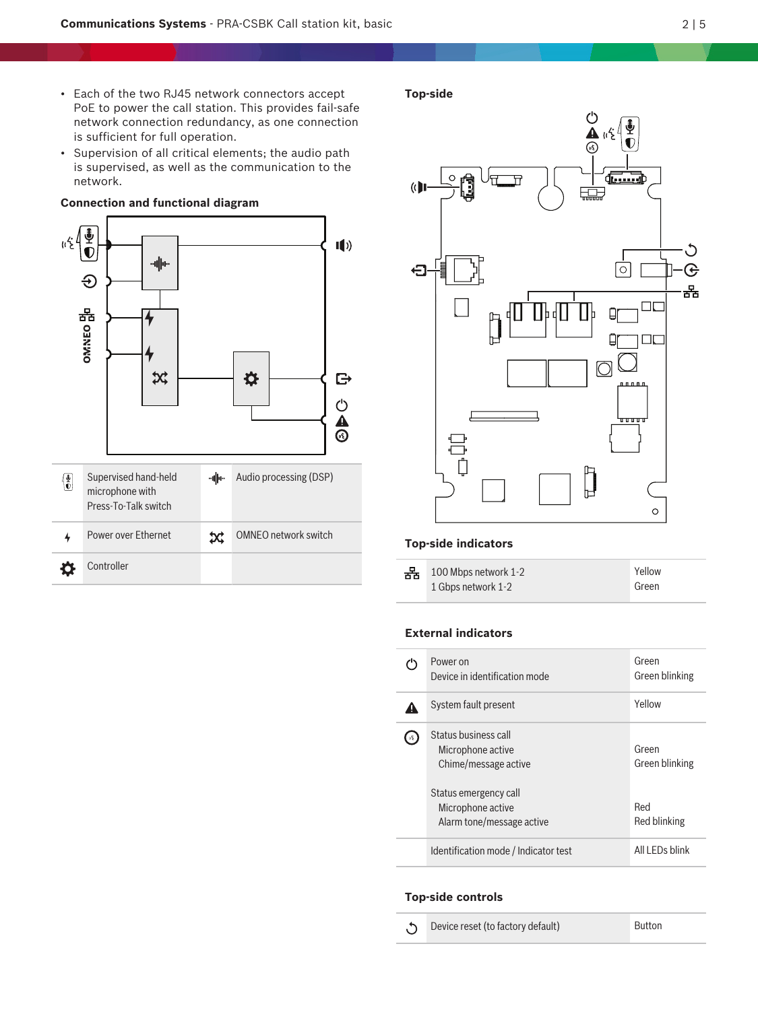- Each of the two RJ45 network connectors accept PoE to power the call station. This provides fail-safe network connection redundancy, as one connection is sufficient for full operation.
- Supervision of all critical elements; the audio path is supervised, as well as the communication to the network.

### **Connection and functional diagram**



**Top‑side**



#### **Top‑side indicators**

| 폶 | 100 Mbps network 1-2 | Yellow |
|---|----------------------|--------|
|   | 1 Gbps network 1-2   | Green  |

### **External indicators**

| Power on<br>Device in identification mode                               | Green<br>Green blinking |
|-------------------------------------------------------------------------|-------------------------|
| System fault present                                                    | Yellow                  |
| Status business call<br>Microphone active<br>Chime/message active       | Green<br>Green blinking |
| Status emergency call<br>Microphone active<br>Alarm tone/message active | Red<br>Red blinking     |
| Identification mode / Indicator test                                    | All I FDs blink         |

#### **Top‑side controls**

| Device reset (to factory default)<br>Button<br>$\circ$ |
|--------------------------------------------------------|
|--------------------------------------------------------|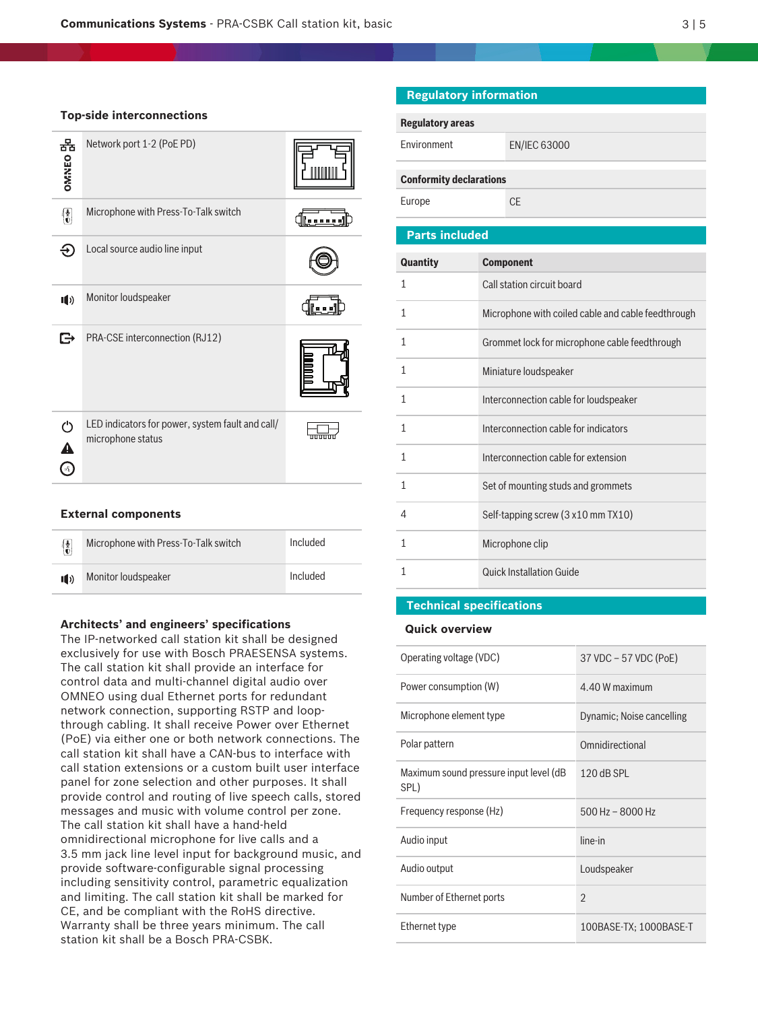#### **Top‑side interconnections**

| ᄋᅏᄶᄗ                                             | Network port 1-2 (PoE PD)                                             |         |
|--------------------------------------------------|-----------------------------------------------------------------------|---------|
| $\begin{pmatrix} \frac{1}{2} \\ 0 \end{pmatrix}$ | Microphone with Press-To-Talk switch                                  |         |
|                                                  | Local source audio line input                                         |         |
| $\blacksquare$                                   | Monitor loudspeaker                                                   |         |
| G                                                | PRA-CSE interconnection (RJ12)                                        |         |
| ඵ<br>А<br>$\odot$                                | LED indicators for power, system fault and call/<br>microphone status | mmm     |
| <b>External components</b>                       |                                                                       |         |
| ΓŦ.                                              | Microphone with Press-To-Talk switch                                  | hehuded |

| $\frac{1}{2}$  | Microphone with Press-To-Talk switch | Included |
|----------------|--------------------------------------|----------|
| $\blacksquare$ | Monitor loudspeaker                  | Included |

#### **Architects' and engineers' specifications**

The IP‑networked call station kit shall be designed exclusively for use with Bosch PRAESENSA systems. The call station kit shall provide an interface for control data and multi‑channel digital audio over OMNEO using dual Ethernet ports for redundant network connection, supporting RSTP and loopthrough cabling. It shall receive Power over Ethernet (PoE) via either one or both network connections. The call station kit shall have a CAN‑bus to interface with call station extensions or a custom built user interface panel for zone selection and other purposes. It shall provide control and routing of live speech calls, stored messages and music with volume control per zone. The call station kit shall have a hand-held omnidirectional microphone for live calls and a 3.5 mm jack line level input for background music, and provide software-configurable signal processing including sensitivity control, parametric equalization and limiting. The call station kit shall be marked for CE, and be compliant with the RoHS directive. Warranty shall be three years minimum. The call station kit shall be a Bosch PRA-CSBK.

# **Regulatory information Regulatory areas** Environment EN/IEC 63000

**Conformity declarations**

Europe CE

## **Parts included Quantity Component** 1 Call station circuit board 1 Microphone with coiled cable and cable feedthrough 1 Grommet lock for microphone cable feedthrough 1 Miniature loudspeaker 1 Interconnection cable for loudspeaker 1 **Interconnection cable for indicators** 1 Interconnection cable for extension 1 Set of mounting studs and grommets 4 Self‑tapping screw (3 x10 mm TX10) 1 Microphone clip 1 Quick Installation Guide

#### **Technical specifications**

#### **Quick overview**

| Operating voltage (VDC)                        | 37 VDC - 57 VDC (PoE)     |
|------------------------------------------------|---------------------------|
| Power consumption (W)                          | 4.40 W maximum            |
| Microphone element type                        | Dynamic; Noise cancelling |
| Polar pattern                                  | Omnidirectional           |
| Maximum sound pressure input level (dB<br>SPL) | $120$ dB SPI              |
| Frequency response (Hz)                        | $500$ Hz $-8000$ Hz       |
| Audio input                                    | line-in                   |
| Audio output                                   | Loudspeaker               |
| Number of Ethernet ports                       | $\mathfrak{D}$            |
| Ethernet type                                  | 100BASE-TX; 1000BASE-T    |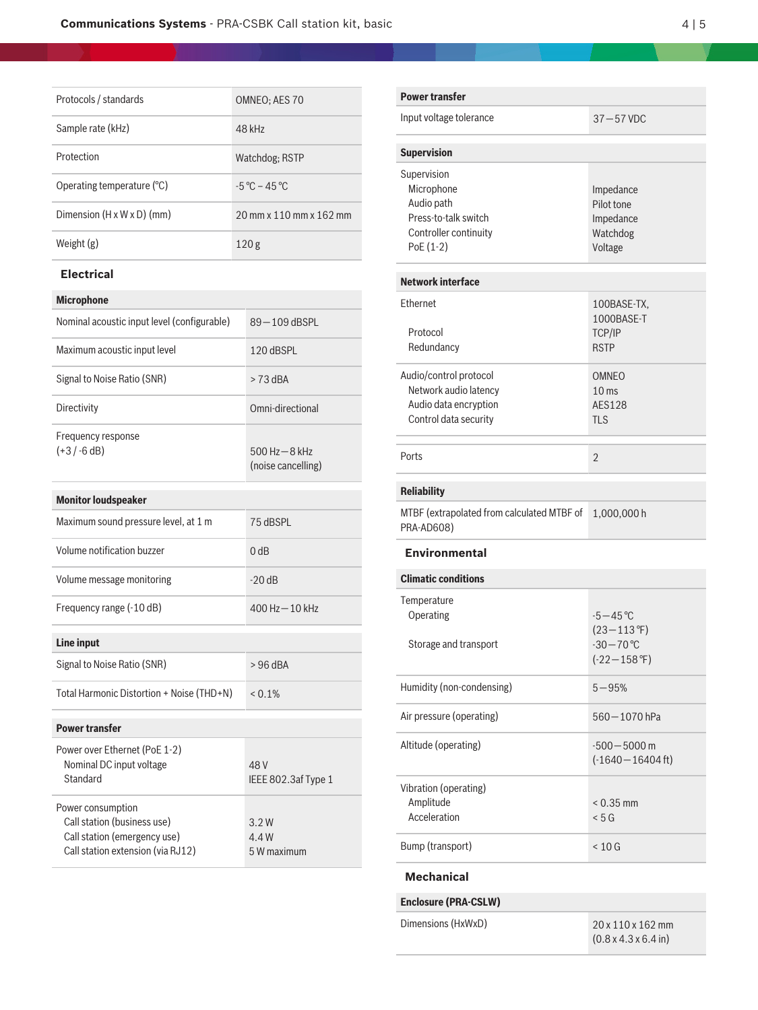| Protocols / standards                  | OMNEO: AES 70           |
|----------------------------------------|-------------------------|
| Sample rate (kHz)                      | 48 kHz                  |
| Protection                             | Watchdog: RSTP          |
| Operating temperature $(°C)$           | $-5^{\circ}$ C – 45 °C  |
| Dimension $(H \times W \times D)$ (mm) | 20 mm x 110 mm x 162 mm |
| Weight $(g)$                           | 120g                    |

#### **Electrical**

| <b>Microphone</b>                           |                                         |  |  |
|---------------------------------------------|-----------------------------------------|--|--|
| Nominal acoustic input level (configurable) | 89-109 dBSPL                            |  |  |
| Maximum acoustic input level                | 120 dBSPL                               |  |  |
| Signal to Noise Ratio (SNR)                 | $> 73$ dBA                              |  |  |
| Directivity                                 | Omni-directional                        |  |  |
| Frequency response<br>$(+3/-6 dB)$          | $500$ Hz $-8$ kHz<br>(noise cancelling) |  |  |
| <b>Monitor loudspeaker</b>                  |                                         |  |  |
| Maximum sound pressure level, at 1 m        | 75 dBSPL                                |  |  |
| Volume notification buzzer                  | 0 <sub>d</sub> B                        |  |  |
| Volume message monitoring                   | $-20dB$                                 |  |  |
| Frequency range (-10 dB)                    | $400$ Hz $-10$ kHz                      |  |  |
| <b>Line input</b>                           |                                         |  |  |
| Signal to Noise Ratio (SNR)                 | $>96$ dBA                               |  |  |
| Total Harmonic Distortion + Noise (THD+N)   | $< 0.1\%$                               |  |  |

### **Power transfer**

| Power over Ethernet (PoE 1-2)<br>Nominal DC input voltage<br>Standard | 48 V<br>IEEE 802.3af Type 1 |
|-----------------------------------------------------------------------|-----------------------------|
| Power consumption                                                     |                             |
| Call station (business use)                                           | 3.2W                        |
| Call station (emergency use)                                          | 4.4 W                       |
| Call station extension (via RJ12)                                     | 5 W maximum                 |

| <b>Power transfer</b>                                                                                  |                                                                      |
|--------------------------------------------------------------------------------------------------------|----------------------------------------------------------------------|
| Input voltage tolerance                                                                                | $37 - 57$ VDC                                                        |
| <b>Supervision</b>                                                                                     |                                                                      |
| Supervision<br>Microphone<br>Audio path<br>Press-to-talk switch<br>Controller continuity<br>$PoE(1-2)$ | Impedance<br>Pilot tone<br>Impedance<br>Watchdog<br>Voltage          |
| <b>Network interface</b>                                                                               |                                                                      |
| Ethernet<br>Protocol<br>Redundancy                                                                     | 100BASE-TX,<br>1000BASE-T<br>TCP/IP<br><b>RSTP</b>                   |
| Audio/control protocol<br>Network audio latency<br>Audio data encryption<br>Control data security      | <b>OMNEO</b><br>10 <sub>ms</sub><br><b>AES128</b><br><b>TLS</b>      |
| Ports                                                                                                  | $\overline{2}$                                                       |
| <b>Reliability</b>                                                                                     |                                                                      |
| MTBF (extrapolated from calculated MTBF of<br>PRA-AD608)                                               | 1,000,000h                                                           |
| <b>Environmental</b>                                                                                   |                                                                      |
| <b>Climatic conditions</b>                                                                             |                                                                      |
| Temperature<br>Operating<br>Storage and transport                                                      | $-5 - 45$ °C<br>$(23 - 113$ °F)<br>$-30 - 70$ °C<br>$(-22 - 158$ °F) |
| Humidity (non-condensing)                                                                              | $5 - 95%$                                                            |
| Air pressure (operating)                                                                               | 560 – 1070 hPa                                                       |
| Altitude (operating)                                                                                   | $-500 - 5000$ m<br>$(-1640 - 16404$ ft)                              |
| Vibration (operating)<br>Amplitude<br>Acceleration                                                     | $< 0.35$ mm<br>< 5 G                                                 |
| Bump (transport)                                                                                       | < 10 G                                                               |
| <b>Mechanical</b>                                                                                      |                                                                      |

## **Enclosure (PRA-CSLW)**

| Dimensions (HxWxD) | 20 x 110 x 162 mm                        |
|--------------------|------------------------------------------|
|                    | $(0.8 \times 4.3 \times 6.4 \text{ in})$ |